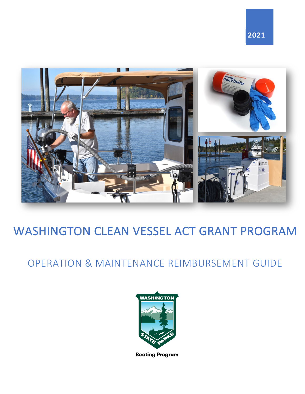

# WASHINGTON CLEAN VESSEL ACT GRANT PROGRAM

## OPERATION & MAINTENANCE REIMBURSEMENT GUIDE



**Boating Program**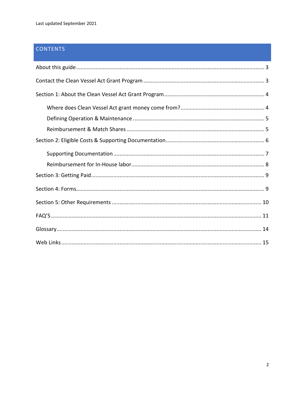## **CONTENTS**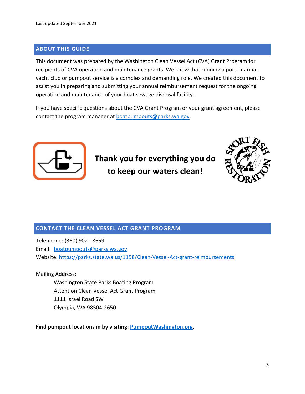## <span id="page-2-0"></span>**ABOUT THIS GUIDE**

This document was prepared by the Washington Clean Vessel Act (CVA) Grant Program for recipients of CVA operation and maintenance grants. We know that running a port, marina, yacht club or pumpout service is a complex and demanding role. We created this document to assist you in preparing and submitting your annual reimbursement request for the ongoing operation and maintenance of your boat sewage disposal facility.

If you have specific questions about the CVA Grant Program or your grant agreement, please contact the program manager at [boatpumpouts@parks.wa.gov.](mailto:boatpumpouts@parks.wa.gov)



**Thank you for everything you do to keep our waters clean!**



## <span id="page-2-1"></span>**CONTACT THE CLEAN VESSEL ACT GRANT PROGRAM**

Telephone: (360) 902 - 8659 Email: [boatpumpouts@parks.wa.gov](mailto:boatpumpouts@parks.wa.gov) Website:<https://parks.state.wa.us/1158/Clean-Vessel-Act-grant-reimbursements>

Mailing Address:

Washington State Parks Boating Program Attention Clean Vessel Act Grant Program 1111 Israel Road SW Olympia, WA 98504-2650

**Find pumpout locations in by visiting: [PumpoutWashington.org.](https://pumpoutwashington.org/)**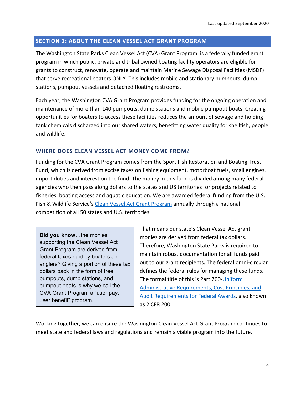#### <span id="page-3-0"></span>**SECTION 1: ABOUT THE CLEAN VESSEL ACT GRANT PROGRAM**

The Washington State Parks Clean Vessel Act (CVA) Grant Program is a federally funded grant program in which public, private and tribal owned boating facility operators are eligible for grants to construct, renovate, operate and maintain Marine Sewage Disposal Facilities (MSDF) that serve recreational boaters ONLY. This includes mobile and stationary pumpouts, dump stations, pumpout vessels and detached floating restrooms.

Each year, the Washington CVA Grant Program provides funding for the ongoing operation and maintenance of more than 140 pumpouts, dump stations and mobile pumpout boats. Creating opportunities for boaters to access these facilities reduces the amount of sewage and holding tank chemicals discharged into our shared waters, benefitting water quality for shellfish, people and wildlife.

#### <span id="page-3-1"></span>**WHERE DOES CLEAN VESSEL ACT MONEY COME FROM?**

Funding for the CVA Grant Program comes from the Sport Fish Restoration and Boating Trust Fund, which is derived from excise taxes on fishing equipment, motorboat fuels, small engines, import duties and interest on the fund. The money in this fund is divided among many federal agencies who then pass along dollars to the states and US territories for projects related to fisheries, boating access and aquatic education. We are awarded federal funding from the U.S. Fish & Wildlife Service's [Clean Vessel Act Grant Program](https://wsfrprograms.fws.gov/Subpages/GrantPrograms/CVA/CVA.htm) annually through a national competition of all 50 states and U.S. territories.

**Did you know**…the monies supporting the Clean Vessel Act Grant Program are derived from federal taxes paid by boaters and anglers? Giving a portion of these tax dollars back in the form of free pumpouts, dump stations, and pumpout boats is why we call the CVA Grant Program a "user pay, user benefit" program.

That means our state's Clean Vessel Act grant monies are derived from federal tax dollars. Therefore, Washington State Parks is required to maintain robust documentation for all funds paid out to our grant recipients. The federal omni-circular defines the federal rules for managing these funds. The formal title of this is Part 200[-Uniform](https://www.ecfr.gov/cgi-bin/text-idx?SID=0709a70e1a95880ea23246446b0212f7&mc=true&node=pt2.1.200&rgn=div5)  [Administrative Requirements, Cost Principles, and](https://www.ecfr.gov/cgi-bin/text-idx?SID=0709a70e1a95880ea23246446b0212f7&mc=true&node=pt2.1.200&rgn=div5)  [Audit Requirements for Federal Awards,](https://www.ecfr.gov/cgi-bin/text-idx?SID=0709a70e1a95880ea23246446b0212f7&mc=true&node=pt2.1.200&rgn=div5) also known as 2 CFR 200.

Working together, we can ensure the Washington Clean Vessel Act Grant Program continues to meet state and federal laws and regulations and remain a viable program into the future.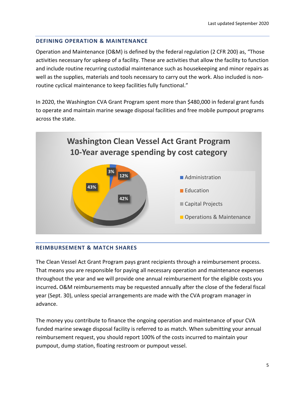## <span id="page-4-0"></span>**DEFINING OPERATION & MAINTENANCE**

Operation and Maintenance (O&M) is defined by the federal regulation (2 CFR 200) as, "Those activities necessary for upkeep of a facility. These are activities that allow the facility to function and include routine recurring custodial maintenance such as housekeeping and minor repairs as well as the supplies, materials and tools necessary to carry out the work. Also included is nonroutine cyclical maintenance to keep facilities fully functional."

In 2020, the Washington CVA Grant Program spent more than \$480,000 in federal grant funds to operate and maintain marine sewage disposal facilities and free mobile pumpout programs across the state.



#### <span id="page-4-1"></span>**REIMBURSEMENT & MATCH SHARES**

The Clean Vessel Act Grant Program pays grant recipients through a reimbursement process. That means you are responsible for paying all necessary operation and maintenance expenses throughout the year and we will provide one annual reimbursement for the eligible costs you incurred**.** O&M reimbursements may be requested annually after the close of the federal fiscal year (Sept. 30), unless special arrangements are made with the CVA program manager in advance.

The money you contribute to finance the ongoing operation and maintenance of your CVA funded marine sewage disposal facility is referred to as match. When submitting your annual reimbursement request, you should report 100% of the costs incurred to maintain your pumpout, dump station, floating restroom or pumpout vessel.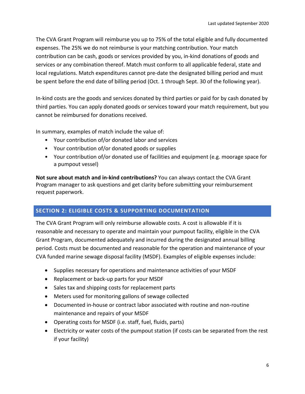The CVA Grant Program will reimburse you up to 75% of the total eligible and fully documented expenses. The 25% we do not reimburse is your matching contribution. Your match contribution can be cash, goods or services provided by you, in-kind donations of goods and services or any combination thereof. Match must conform to all applicable federal, state and local regulations. Match expenditures cannot pre-date the designated billing period and must be spent before the end date of billing period (Oct. 1 through Sept. 30 of the following year).

In-kind costs are the goods and services donated by third parties or paid for by cash donated by third parties. You can apply donated goods or services toward your match requirement, but you cannot be reimbursed for donations received.

In summary, examples of match include the value of:

- Your contribution of/or donated labor and services
- Your contribution of/or donated goods or supplies
- Your contribution of/or donated use of facilities and equipment (e.g. moorage space for a pumpout vessel)

**Not sure about match and in-kind contributions?** You can always contact the CVA Grant Program manager to ask questions and get clarity before submitting your reimbursement request paperwork.

## <span id="page-5-0"></span>**SECTION 2: ELIGIBLE COSTS & SUPPORTING DOCUMENTATION**

The CVA Grant Program will only reimburse allowable costs. A cost is allowable if it is reasonable and necessary to operate and maintain your pumpout facility, eligible in the CVA Grant Program, documented adequately and incurred during the designated annual billing period. Costs must be documented and reasonable for the operation and maintenance of your CVA funded marine sewage disposal facility (MSDF). Examples of eligible expenses include:

- Supplies necessary for operations and maintenance activities of your MSDF
- Replacement or back-up parts for your MSDF
- Sales tax and shipping costs for replacement parts
- Meters used for monitoring gallons of sewage collected
- Documented in-house or contract labor associated with routine and non-routine maintenance and repairs of your MSDF
- Operating costs for MSDF (i.e. staff, fuel, fluids, parts)
- Electricity or water costs of the pumpout station (if costs can be separated from the rest if your facility)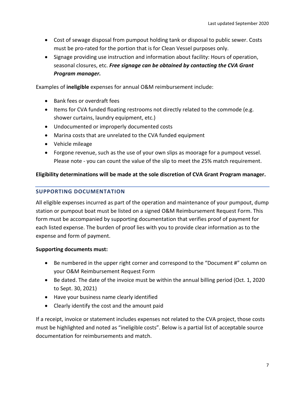- Cost of sewage disposal from pumpout holding tank or disposal to public sewer. Costs must be pro-rated for the portion that is for Clean Vessel purposes only.
- Signage providing use instruction and information about facility: Hours of operation, seasonal closures, etc. *Free signage can be obtained by contacting the CVA Grant Program manager.*

Examples of **ineligible** expenses for annual O&M reimbursement include:

- Bank fees or overdraft fees
- Items for CVA funded floating restrooms not directly related to the commode (e.g. shower curtains, laundry equipment, etc.)
- Undocumented or improperly documented costs
- Marina costs that are unrelated to the CVA funded equipment
- Vehicle mileage
- Forgone revenue, such as the use of your own slips as moorage for a pumpout vessel. Please note - you can count the value of the slip to meet the 25% match requirement.

#### **Eligibility determinations will be made at the sole discretion of CVA Grant Program manager.**

## <span id="page-6-0"></span>**SUPPORTING DOCUMENTATION**

All eligible expenses incurred as part of the operation and maintenance of your pumpout, dump station or pumpout boat must be listed on a signed O&M Reimbursement Request Form. This form must be accompanied by supporting documentation that verifies proof of payment for each listed expense. The burden of proof lies with you to provide clear information as to the expense and form of payment.

#### **Supporting documents must:**

- Be numbered in the upper right corner and correspond to the "Document #" column on your O&M Reimbursement Request Form
- Be dated. The date of the invoice must be within the annual billing period (Oct. 1, 2020 to Sept. 30, 2021)
- Have your business name clearly identified
- Clearly identify the cost and the amount paid

If a receipt, invoice or statement includes expenses not related to the CVA project, those costs must be highlighted and noted as "ineligible costs". Below is a partial list of acceptable source documentation for reimbursements and match.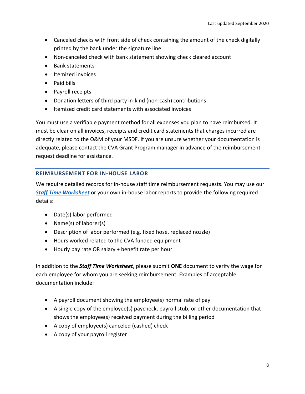- Canceled checks with front side of check containing the amount of the check digitally printed by the bank under the signature line
- Non-canceled check with bank statement showing check cleared account
- Bank statements
- Itemized invoices
- Paid bills
- Payroll receipts
- Donation letters of third party in-kind (non-cash) contributions
- Itemized credit card statements with associated invoices

You must use a verifiable payment method for all expenses you plan to have reimbursed. It must be clear on all invoices, receipts and credit card statements that charges incurred are directly related to the O&M of your MSDF. If you are unsure whether your documentation is adequate, please contact the CVA Grant Program manager in advance of the reimbursement request deadline for assistance.

## <span id="page-7-0"></span>**REIMBURSEMENT FOR IN-HOUSE LABOR**

We require detailed records for in-house staff time reimbursement requests. You may use our *[Staff Time Worksheet](https://parks.state.wa.us/1158/Clean-Vessel-Act-grant-reimbursements)* or your own in-house labor reports to provide the following required details:

- Date(s) labor performed
- Name(s) of laborer(s)
- Description of labor performed (e.g. fixed hose, replaced nozzle)
- Hours worked related to the CVA funded equipment
- Hourly pay rate OR salary + benefit rate per hour

In addition to the *Staff Time Worksheet*, please submit **ONE** document to verify the wage for each employee for whom you are seeking reimbursement. Examples of acceptable documentation include:

- A payroll document showing the employee(s) normal rate of pay
- A single copy of the employee(s) paycheck, payroll stub, or other documentation that shows the employee(s) received payment during the billing period
- A copy of employee(s) canceled (cashed) check
- A copy of your payroll register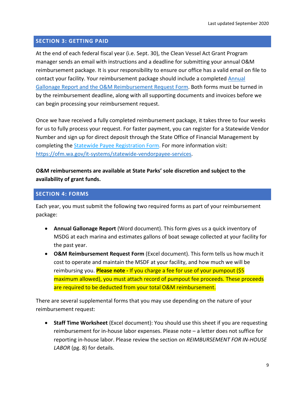## <span id="page-8-0"></span>**SECTION 3: GETTING PAID**

At the end of each federal fiscal year (i.e. Sept. 30), the Clean Vessel Act Grant Program manager sends an email with instructions and a deadline for submitting your annual O&M reimbursement package. It is your responsibility to ensure our office has a valid email on file to contact your facility. Your reimbursement package should include a completed [Annual](https://parks.state.wa.us/1158/Clean-Vessel-Act-grant-reimbursements)  [Gallonage Report and the O&M Reimbursement Request Form.](https://parks.state.wa.us/1158/Clean-Vessel-Act-grant-reimbursements) Both forms must be turned in by the reimbursement deadline, along with all supporting documents and invoices before we can begin processing your reimbursement request.

Once we have received a fully completed reimbursement package, it takes three to four weeks for us to fully process your request. For faster payment, you can register for a Statewide Vendor Number and sign up for direct deposit through the State Office of Financial Management by completing the [Statewide Payee Registration Form.](https://ofm.wa.gov/sites/default/files/public/itsystems/payee/statewidePayeeRegistrationForm.pdf) For more information visit: [https://ofm.wa.gov/it-systems/statewide-vendorpayee-services.](https://ofm.wa.gov/it-systems/statewide-vendorpayee-services)

## **O&M reimbursements are available at State Parks' sole discretion and subject to the availability of grant funds.**

## <span id="page-8-1"></span>**SECTION 4: FORMS**

Each year, you must submit the following two required forms as part of your reimbursement package:

- **Annual Gallonage Report** (Word document). This form gives us a quick inventory of MSDG at each marina and estimates gallons of boat sewage collected at your facility for the past year.
- **O&M Reimbursement Request Form** (Excel document). This form tells us how much it cost to operate and maintain the MSDF at your facility, and how much we will be reimbursing you. **Please note -** If you charge a fee for use of your pumpout (\$5 maximum allowed), you must attach record of pumpout fee proceeds. These proceeds are required to be deducted from your total O&M reimbursement.

There are several supplemental forms that you may use depending on the nature of your reimbursement request:

• **Staff Time Worksheet** (Excel document): You should use this sheet if you are requesting reimbursement for in-house labor expenses. Please note – a letter does not suffice for reporting in-house labor. Please review the section on *REIMBURSEMENT FOR IN-HOUSE LABOR* (pg. 8) for details.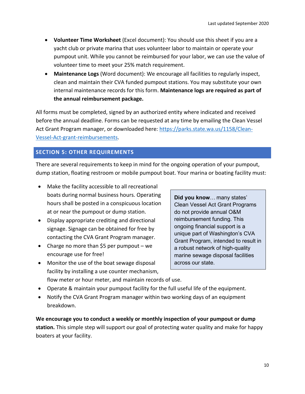- **Volunteer Time Worksheet** (Excel document): You should use this sheet if you are a yacht club or private marina that uses volunteer labor to maintain or operate your pumpout unit. While you cannot be reimbursed for your labor, we can use the value of volunteer time to meet your 25% match requirement.
- **Maintenance Logs** (Word document): We encourage all facilities to regularly inspect, clean and maintain their CVA funded pumpout stations. You may substitute your own internal maintenance records for this form. **Maintenance logs are required as part of the annual reimbursement package.**

All forms must be completed, signed by an authorized entity where indicated and received before the annual deadline. Forms can be requested at any time by emailing the Clean Vessel Act Grant Program manager, or downloaded here: [https://parks.state.wa.us/1158/Clean-](https://parks.state.wa.us/1158/Clean-Vessel-Act-grant-reimbursements)[Vessel-Act-grant-reimbursements.](https://parks.state.wa.us/1158/Clean-Vessel-Act-grant-reimbursements)

## <span id="page-9-0"></span>**SECTION 5: OTHER REQUIREMENTS**

There are several requirements to keep in mind for the ongoing operation of your pumpout, dump station, floating restroom or mobile pumpout boat. Your marina or boating facility must:

- Make the facility accessible to all recreational boats during normal business hours. Operating hours shall be posted in a conspicuous location at or near the pumpout or dump station.
- Display appropriate crediting and directional signage. Signage can be obtained for free by contacting the CVA Grant Program manager.
- Charge no more than \$5 per pumpout we encourage use for free!
- Monitor the use of the boat sewage disposal facility by installing a use counter mechanism,

**Did you know**… many states' Clean Vessel Act Grant Programs do not provide annual O&M reimbursement funding. This ongoing financial support is a unique part of Washington's CVA Grant Program, intended to result in a robust network of high-quality marine sewage disposal facilities across our state.

- flow meter or hour meter, and maintain records of use.
- Operate & maintain your pumpout facility for the full useful life of the equipment.
- Notify the CVA Grant Program manager within two working days of an equipment breakdown.

**We encourage you to conduct a weekly or monthly inspection of your pumpout or dump station.** This simple step will support our goal of protecting water quality and make for happy boaters at your facility.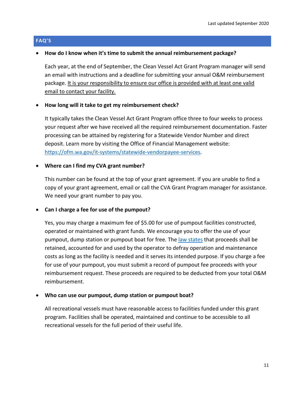#### <span id="page-10-0"></span>**FAQ'S**

#### • **How do I know when it's time to submit the annual reimbursement package?**

Each year, at the end of September, the Clean Vessel Act Grant Program manager will send an email with instructions and a deadline for submitting your annual O&M reimbursement package. It is your responsibility to ensure our office is provided with at least one valid email to contact your facility.

#### • **How long will it take to get my reimbursement check?**

It typically takes the Clean Vessel Act Grant Program office three to four weeks to process your request after we have received all the required reimbursement documentation. Faster processing can be attained by registering for a Statewide Vendor Number and direct deposit. Learn more by visiting the Office of Financial Management website: [https://ofm.wa.gov/it-systems/statewide-vendorpayee-services.](https://ofm.wa.gov/it-systems/statewide-vendorpayee-services)

#### • **Where can I find my CVA grant number?**

This number can be found at the top of your grant agreement. If you are unable to find a copy of your grant agreement, email or call the CVA Grant Program manager for assistance. We need your grant number to pay you.

#### • **Can I charge a fee for use of the pumpout?**

Yes, you may charge a maximum fee of \$5.00 for use of pumpout facilities constructed, operated or maintained with grant funds. We encourage you to offer the use of your pumpout, dump station or pumpout boat for free. The [law states](https://www.ecfr.gov/cgi-bin/retrieveECFR?gp=&SID=f73a8220b56b4f735c3b37fc94ffb128&mc=true&n=pt50.9.85&r=PART&ty=HTML#se50.9.85_144) that proceeds shall be retained, accounted for and used by the operator to defray operation and maintenance costs as long as the facility is needed and it serves its intended purpose. If you charge a fee for use of your pumpout, you must submit a record of pumpout fee proceeds with your reimbursement request. These proceeds are required to be deducted from your total O&M reimbursement.

#### • **Who can use our pumpout, dump station or pumpout boat?**

All recreational vessels must have reasonable access to facilities funded under this grant program. Facilities shall be operated, maintained and continue to be accessible to all recreational vessels for the full period of their useful life.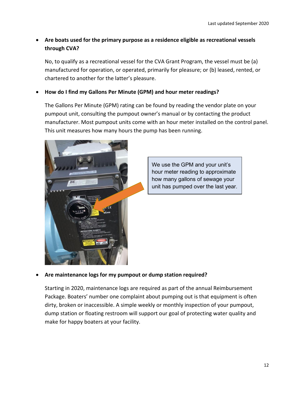## • **Are boats used for the primary purpose as a residence eligible as recreational vessels through CVA?**

No, to qualify as a recreational vessel for the CVA Grant Program, the vessel must be (a) manufactured for operation, or operated, primarily for pleasure; or (b) leased, rented, or chartered to another for the latter's pleasure.

## • **How do I find my Gallons Per Minute (GPM) and hour meter readings?**

The Gallons Per Minute (GPM) rating can be found by reading the vendor plate on your pumpout unit, consulting the pumpout owner's manual or by contacting the product manufacturer. Most pumpout units come with an hour meter installed on the control panel. This unit measures how many hours the pump has been running.



We use the GPM and your unit's hour meter reading to approximate how many gallons of sewage your unit has pumped over the last year.

#### • **Are maintenance logs for my pumpout or dump station required?**

Starting in 2020, maintenance logs are required as part of the annual Reimbursement Package. Boaters' number one complaint about pumping out is that equipment is often dirty, broken or inaccessible. A simple weekly or monthly inspection of your pumpout, dump station or floating restroom will support our goal of protecting water quality and make for happy boaters at your facility.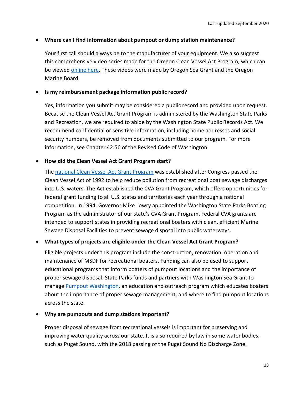## • **Where can I find information about pumpout or dump station maintenance?**

Your first call should always be to the manufacturer of your equipment. We also suggest this comprehensive video series made for the Oregon Clean Vessel Act Program, which can be viewe[d online here.](https://www.youtube.com/playlist?list=PLNch-nxPOrl7uSqoruvQONVpk9TC8XDRC) These videos were made by Oregon Sea Grant and the Oregon Marine Board.

## • **Is my reimbursement package information public record?**

Yes, information you submit may be considered a public record and provided upon request. Because the Clean Vessel Act Grant Program is administered by the Washington State Parks and Recreation, we are required to abide by the Washington State Public Records Act. We recommend confidential or sensitive information, including home addresses and social security numbers, be removed from documents submitted to our program. For more information, see Chapter 42.56 of the Revised Code of Washington.

## • **How did the Clean Vessel Act Grant Program start?**

The [national Clean Vessel Act](https://wsfrprograms.fws.gov/Subpages/GrantPrograms/CVA/CVA.htm) Grant Program was established after Congress passed the Clean Vessel Act of 1992 to help reduce pollution from recreational boat sewage discharges into U.S. waters. The Act established the CVA Grant Program, which offers opportunities for federal grant funding to all U.S. states and territories each year through a national competition. In 1994, Governor Mike Lowry appointed the Washington State Parks Boating Program as the administrator of our state's CVA Grant Program. Federal CVA grants are intended to support states in providing recreational boaters with clean, efficient Marine Sewage Disposal Facilities to prevent sewage disposal into public waterways.

#### • **What types of projects are eligible under the Clean Vessel Act Grant Program?**

Eligible projects under this program include the construction, renovation, operation and maintenance of MSDF for recreational boaters. Funding can also be used to support educational programs that inform boaters of pumpout locations and the importance of proper sewage disposal. State Parks funds and partners with Washington Sea Grant to manag[e Pumpout Washington,](https://pumpoutwashington.org/) an education and outreach program which educates boaters about the importance of proper sewage management, and where to find pumpout locations across the state.

#### • **Why are pumpouts and dump stations important?**

Proper disposal of sewage from recreational vessels is important for preserving and improving water quality across our state. It is also required by law in some water bodies, such as Puget Sound, with the 2018 passing of the Puget Sound No Discharge Zone.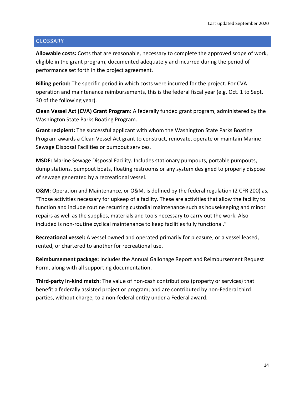#### <span id="page-13-0"></span>**GLOSSARY**

**Allowable costs:** Costs that are reasonable, necessary to complete the approved scope of work, eligible in the grant program, documented adequately and incurred during the period of performance set forth in the project agreement.

**Billing period:** The specific period in which costs were incurred for the project. For CVA operation and maintenance reimbursements, this is the federal fiscal year (e.g. Oct. 1 to Sept. 30 of the following year).

**Clean Vessel Act (CVA) Grant Program:** A federally funded grant program, administered by the Washington State Parks Boating Program.

**Grant recipient:** The successful applicant with whom the Washington State Parks Boating Program awards a Clean Vessel Act grant to construct, renovate, operate or maintain Marine Sewage Disposal Facilities or pumpout services.

**MSDF:** Marine Sewage Disposal Facility. Includes stationary pumpouts, portable pumpouts, dump stations, pumpout boats, floating restrooms or any system designed to properly dispose of sewage generated by a recreational vessel.

**O&M:** Operation and Maintenance, or O&M, is defined by the federal regulation (2 CFR 200) as, "Those activities necessary for upkeep of a facility. These are activities that allow the facility to function and include routine recurring custodial maintenance such as housekeeping and minor repairs as well as the supplies, materials and tools necessary to carry out the work. Also included is non-routine cyclical maintenance to keep facilities fully functional."

**Recreational vessel:** A vessel owned and operated primarily for pleasure; or a vessel leased, rented, or chartered to another for recreational use.

**Reimbursement package:** Includes the Annual Gallonage Report and Reimbursement Request Form, along with all supporting documentation.

**Third-party in-kind match**: The value of non-cash contributions (property or services) that benefit a federally assisted project or program; and are contributed by non-Federal third parties, without charge, to a non-federal entity under a Federal award.